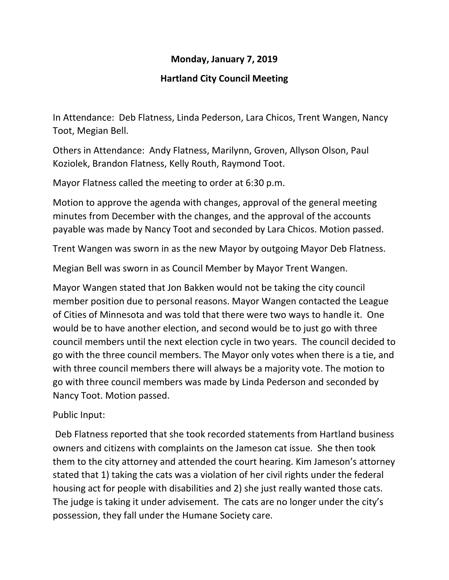## **Monday, January 7, 2019**

## **Hartland City Council Meeting**

In Attendance: Deb Flatness, Linda Pederson, Lara Chicos, Trent Wangen, Nancy Toot, Megian Bell.

Others in Attendance: Andy Flatness, Marilynn, Groven, Allyson Olson, Paul Koziolek, Brandon Flatness, Kelly Routh, Raymond Toot.

Mayor Flatness called the meeting to order at 6:30 p.m.

Motion to approve the agenda with changes, approval of the general meeting minutes from December with the changes, and the approval of the accounts payable was made by Nancy Toot and seconded by Lara Chicos. Motion passed.

Trent Wangen was sworn in as the new Mayor by outgoing Mayor Deb Flatness.

Megian Bell was sworn in as Council Member by Mayor Trent Wangen.

Mayor Wangen stated that Jon Bakken would not be taking the city council member position due to personal reasons. Mayor Wangen contacted the League of Cities of Minnesota and was told that there were two ways to handle it. One would be to have another election, and second would be to just go with three council members until the next election cycle in two years. The council decided to go with the three council members. The Mayor only votes when there is a tie, and with three council members there will always be a majority vote. The motion to go with three council members was made by Linda Pederson and seconded by Nancy Toot. Motion passed.

Public Input:

Deb Flatness reported that she took recorded statements from Hartland business owners and citizens with complaints on the Jameson cat issue. She then took them to the city attorney and attended the court hearing. Kim Jameson's attorney stated that 1) taking the cats was a violation of her civil rights under the federal housing act for people with disabilities and 2) she just really wanted those cats. The judge is taking it under advisement. The cats are no longer under the city's possession, they fall under the Humane Society care.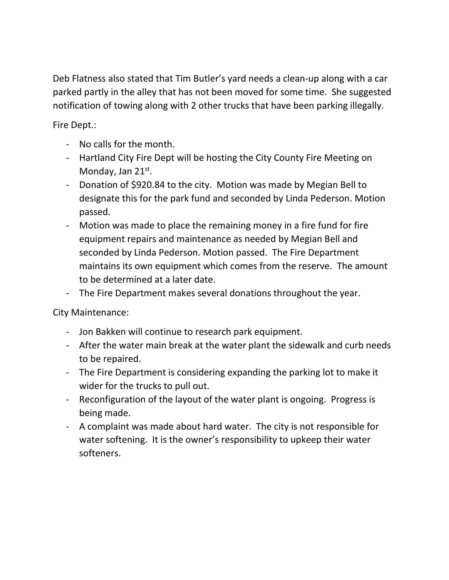Deb Flatness also stated that Tim Butler's yard needs a clean-up along with a car parked partly in the alley that has not been moved for some time. She suggested notification of towing along with 2 other trucks that have been parking illegally.

Fire Dept.:

- No calls for the month.
- Hartland City Fire Dept will be hosting the City County Fire Meeting on Monday, Jan 21st.
- Donation of \$920.84 to the city. Motion was made by Megian Bell to designate this for the park fund and seconded by Linda Pederson. Motion passed.
- Motion was made to place the remaining money in a fire fund for fire equipment repairs and maintenance as needed by Megian Bell and seconded by Linda Pederson. Motion passed. The Fire Department maintains its own equipment which comes from the reserve. The amount to be determined at a later date.
- The Fire Department makes several donations throughout the year.

City Maintenance:

- Jon Bakken will continue to research park equipment.
- After the water main break at the water plant the sidewalk and curb needs to be repaired.
- The Fire Department is considering expanding the parking lot to make it wider for the trucks to pull out.
- Reconfiguration of the layout of the water plant is ongoing. Progress is being made.
- A complaint was made about hard water. The city is not responsible for water softening. It is the owner's responsibility to upkeep their water softeners.